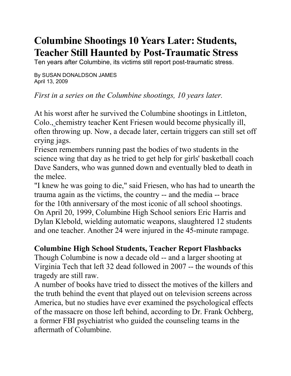# **Columbine Shootings 10 Years Later: Students, Teacher Still Haunted by Post-Traumatic Stress**

Ten years after Columbine, its victims still report post-traumatic stress.

By SUSAN DONALDSON JAMES April 13, 2009

*First in a series on the Columbine shootings, 10 years later.*

At his worst after [he survived the Columbine shootings in Littleton,](http://abcnews.go.com/GMA/story?id=3048457&page=1)  [Colo.,](http://abcnews.go.com/GMA/story?id=3048457&page=1) chemistry teacher Kent Friesen would become physically ill, often throwing up. Now, a decade later, certain triggers can still set off crying jags.

Friesen remembers running past the bodies of two students in the science wing that day as he tried to get help for girls' basketball coach Dave Sanders, who was gunned down and eventually bled to death in the melee.

"I knew he was going to die," said Friesen, who has had to unearth the trauma again as the victims, the country -- and the media -- brace for [the 10th anniversary](http://abcnews.go.com/International/wireStory?id=7151566) of the most iconic of all [school shootings.](http://abcnews.go.com/US/wireStory?id=7272309) On April 20, 1999, Columbine High School seniors [Eric Harris and](http://abcnews.go.com/Video/playerIndex?id=2163805)  [Dylan Klebold,](http://abcnews.go.com/Video/playerIndex?id=2163805) wielding automatic weapons, slaughtered 12 students and one teacher. Another 24 were injured in the 45-minute rampage.

### **Columbine High School Students, Teacher Report Flashbacks**

Though Columbine is now a decade old -- and a [larger shooting at](http://abcnews.go.com/US/story?id=3056317&page=1)  [Virginia Tech that left 32 dead followed in 2007](http://abcnews.go.com/US/story?id=3056317&page=1) -- the wounds of this tragedy are still raw.

A number of books have tried to dissect the motives of the killers and the truth behind the event that played out on television screens across America, but no studies have ever examined the psychological effects of the massacre on those left behind, according to Dr. Frank Ochberg, a former FBI psychiatrist who guided the counseling teams in the aftermath of Columbine.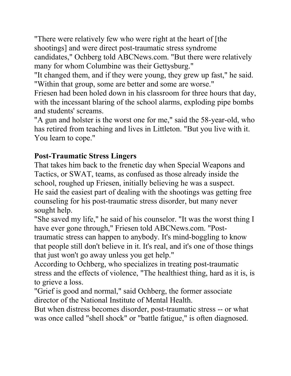"There were relatively few who were right at the heart of [the shootings] and were direct post-traumatic stress syndrome candidates," Ochberg told ABCNews.com. "But there were relatively many for whom Columbine was their Gettysburg."

"It changed them, and if they were young, they grew up fast," he said. "Within that group, some are better and some are worse."

Friesen had been holed down in his classroom for three hours that day, with the incessant blaring of the school alarms, exploding pipe bombs and students' screams.

"A gun and holster is the worst one for me," said the 58-year-old, who has retired from teaching and lives in Littleton. "But you live with it. You learn to cope."

### **Post-Traumatic Stress Lingers**

That takes him back to the frenetic day when Special Weapons and Tactics, or SWAT, teams, as confused as those already inside the school, roughed up Friesen, initially believing he was a suspect. He said the easiest part of [dealing with the shootings](http://abcnews.go.com/International/wireStory?id=7054739) was getting free counseling for his post-traumatic stress disorder, but many never sought help.

"She saved my life," he said of his counselor. "It was the worst thing I have ever gone through," Friesen told ABCNews.com. "Posttraumatic stress can happen to anybody. It's mind-boggling to know that people still don't believe in it. It's real, and it's one of those things that just won't go away unless you get help."

[According to Ochberg, who specializes in treating post-traumatic](http://www.giftfromwithin.org/html/columbin.html)  [stress and the effects of violence,](http://www.giftfromwithin.org/html/columbin.html) "The healthiest thing, hard as it is, is to grieve a loss.

"Grief is good and normal," said Ochberg, the former associate director of the National Institute of Mental Health.

But when distress becomes disorder, post-traumatic stress -- or what was once called "shell shock" or "battle fatigue," is often diagnosed.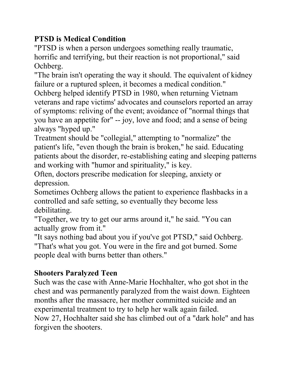### **PTSD is Medical Condition**

"PTSD is when a person undergoes something really traumatic, horrific and terrifying, but their reaction is not proportional," said Ochberg.

"The brain isn't operating the way it should. The equivalent of kidney failure or a ruptured spleen, it becomes a medical condition." Ochberg helped identify PTSD in 1980, when returning Vietnam veterans and rape victims' advocates and counselors reported an array of symptoms: reliving of the event; avoidance of "normal things that you have an appetite for" -- joy, love and food; and a sense of being always "hyped up."

Treatment should be "collegial," attempting to "normalize" the patient's life, "even though the brain is broken," he said. Educating patients about the disorder, re-establishing eating and sleeping patterns and working with "humor and spirituality," is key.

Often, doctors prescribe medication for sleeping, anxiety or depression.

Sometimes Ochberg allows the patient to experience flashbacks in a controlled and safe setting, so eventually they become less debilitating.

"Together, we try to get our arms around it," he said. "You can actually grow from it."

"It says nothing bad about you if you've got PTSD," said Ochberg. "That's what you got. You were in the fire and got burned. Some people deal with burns better than others."

## **Shooters Paralyzed Teen**

Such was the case with Anne-Marie Hochhalter, who got shot in the chest and was permanently paralyzed from the waist down. Eighteen months after the massacre, her mother committed suicide and an experimental treatment to try to help her walk again failed. Now 27, Hochhalter said she has climbed out of a "dark hole" and has forgiven the shooters.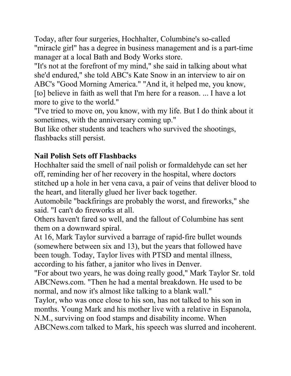Today, after four surgeries, Hochhalter, Columbine's so-called "miracle girl" has a degree in business management and is a part-time manager at a local Bath and Body Works store.

"It's not at the forefront of my mind," she said in talking about what she'd endured," she told ABC's Kate Snow in an interview to air on ABC's "Good Morning America." "And it, it helped me, you know, [to] believe in faith as well that I'm here for a reason. ... I have a lot more to give to the world."

"I've tried to move on, you know, with my life. But I do think about it sometimes, with the anniversary coming up."

But like other students and teachers who survived the shootings, flashbacks still persist.

### **Nail Polish Sets off Flashbacks**

Hochhalter said the smell of nail polish or formaldehyde can set her off, reminding her of her recovery in the hospital, where doctors stitched up a hole in her vena cava, a pair of veins that deliver blood to the heart, and literally glued her liver back together.

Automobile "backfirings are probably the worst, and fireworks," she said. "I can't do fireworks at all.

Others haven't fared so well, and the fallout of Columbine has sent them on a downward spiral.

At 16, Mark Taylor survived a barrage of rapid-fire bullet wounds (somewhere between six and 13), but the years that followed have been tough. Today, Taylor lives with PTSD and mental illness, according to his father, a janitor who lives in Denver.

"For about two years, he was doing really good," Mark Taylor Sr. told ABCNews.com. "Then he had a mental breakdown. He used to be normal, and now it's almost like talking to a blank wall."

Taylor, who was once close to his son, has not talked to his son in months. Young Mark and his mother live with a relative in Espanola, N.M., surviving on food stamps and disability income. When ABCNews.com talked to Mark, his speech was slurred and incoherent.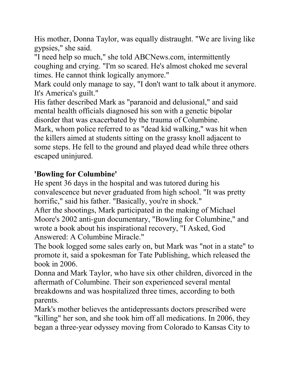His mother, Donna Taylor, was equally distraught. "We are living like gypsies," she said.

"I need help so much," she told ABCNews.com, intermittently coughing and crying. "I'm so scared. He's almost choked me several times. He cannot think logically anymore."

Mark could only manage to say, "I don't want to talk about it anymore. It's America's guilt."

His father described Mark as "paranoid and delusional," and said mental health officials diagnosed his son with a genetic bipolar disorder that was exacerbated by the trauma of Columbine. Mark, whom police referred to as "dead kid walking," was hit when the killers aimed at students sitting on the grassy knoll adjacent to some steps. He fell to the ground and played dead while three others escaped uninjured.

### **'Bowling for Columbine'**

He spent 36 days in the hospital and was tutored during his convalescence but never graduated from high school. "It was pretty horrific," said his father. "Basically, you're in shock."

After the shootings, Mark participated in the making of Michael Moore's 2002 anti-gun documentary, "Bowling for Columbine," and wrote a book about his inspirational recovery, "I Asked, God Answered: A Columbine Miracle."

The book logged some sales early on, but Mark was "not in a state" to promote it, said a spokesman for Tate Publishing, which released the book in 2006.

Donna and Mark Taylor, who have six other children, divorced in the aftermath of Columbine. Their son experienced several mental breakdowns and was hospitalized three times, according to both parents.

Mark's mother believes the antidepressants doctors prescribed were "killing" her son, and she took him off all medications. In 2006, they began a three-year odyssey moving from Colorado to Kansas City to